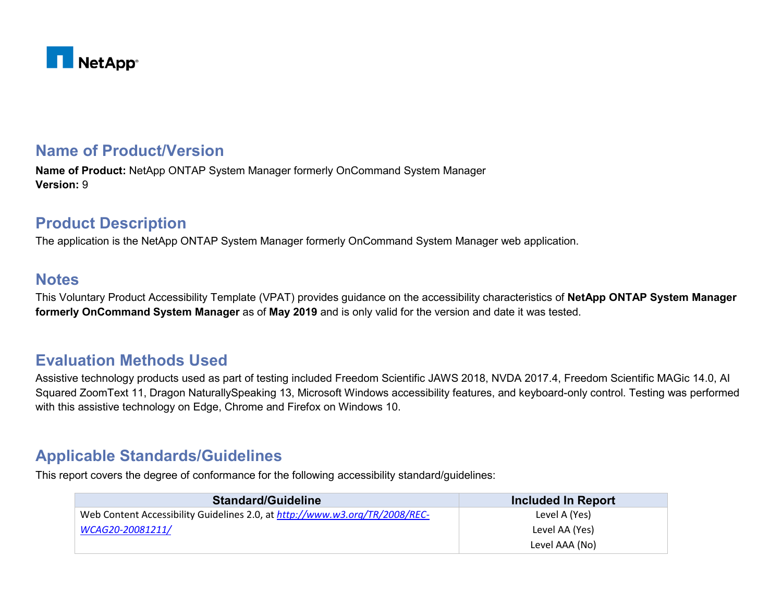

## **Name of Product/Version**

**Name of Product:** NetApp ONTAP System Manager formerly OnCommand System Manager **Version:** 9

## **Product Description**

The application is the NetApp ONTAP System Manager formerly OnCommand System Manager web application.

### **Notes**

This Voluntary Product Accessibility Template (VPAT) provides guidance on the accessibility characteristics of **NetApp ONTAP System Manager formerly OnCommand System Manager** as of **May 2019** and is only valid for the version and date it was tested.

## **Evaluation Methods Used**

Assistive technology products used as part of testing included Freedom Scientific JAWS 2018, NVDA 2017.4, Freedom Scientific MAGic 14.0, AI Squared ZoomText 11, Dragon NaturallySpeaking 13, Microsoft Windows accessibility features, and keyboard-only control. Testing was performed with this assistive technology on Edge, Chrome and Firefox on Windows 10.

## **Applicable Standards/Guidelines**

This report covers the degree of conformance for the following accessibility standard/guidelines:

| <b>Standard/Guideline</b>                                                   | <b>Included In Report</b> |
|-----------------------------------------------------------------------------|---------------------------|
| Web Content Accessibility Guidelines 2.0, at http://www.w3.org/TR/2008/REC- | Level A (Yes)             |
| WCAG20-20081211/                                                            | Level AA (Yes)            |
|                                                                             | Level AAA (No)            |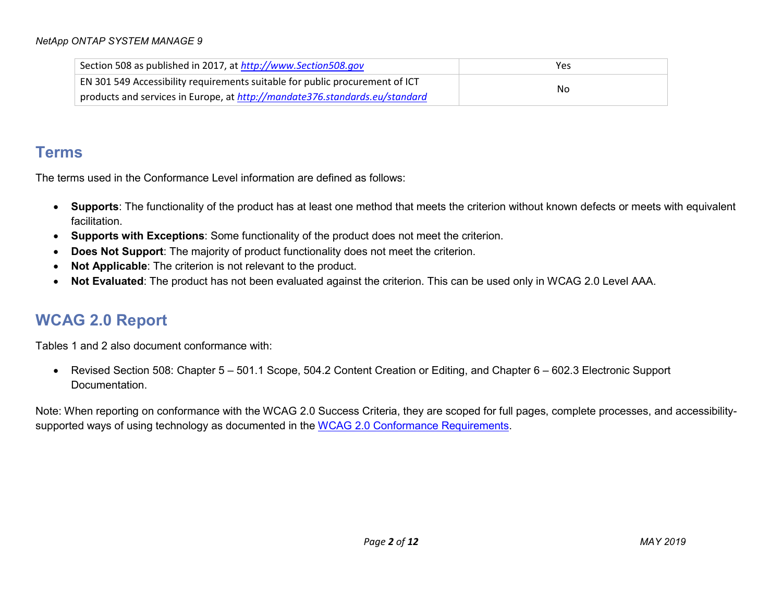| Section 508 as published in 2017, at http://www.Section508.gov               | Yes |
|------------------------------------------------------------------------------|-----|
| EN 301 549 Accessibility requirements suitable for public procurement of ICT | No  |
| products and services in Europe, at http://mandate376.standards.eu/standard  |     |

## **Terms**

The terms used in the Conformance Level information are defined as follows:

- **Supports**: The functionality of the product has at least one method that meets the criterion without known defects or meets with equivalent facilitation.
- **Supports with Exceptions**: Some functionality of the product does not meet the criterion.
- **Does Not Support:** The majority of product functionality does not meet the criterion.
- **Not Applicable**: The criterion is not relevant to the product.
- **Not Evaluated**: The product has not been evaluated against the criterion. This can be used only in WCAG 2.0 Level AAA.

# **WCAG 2.0 Report**

Tables 1 and 2 also document conformance with:

• Revised Section 508: Chapter 5 – 501.1 Scope, 504.2 Content Creation or Editing, and Chapter 6 – 602.3 Electronic Support Documentation.

Note: When reporting on conformance with the WCAG 2.0 Success Criteria, they are scoped for full pages, complete processes, and accessibility-supported ways of using technology as documented in the [WCAG 2.0 Conformance Requirements.](https://www.w3.org/TR/WCAG20/#conformance-reqs)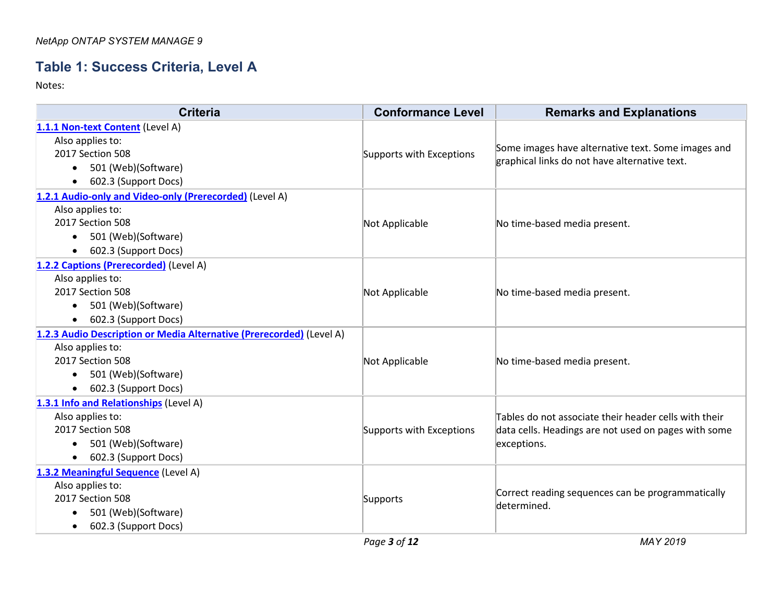## **Table 1: Success Criteria, Level A**

| <b>Criteria</b>                                                      | <b>Conformance Level</b> | <b>Remarks and Explanations</b>                                                                               |
|----------------------------------------------------------------------|--------------------------|---------------------------------------------------------------------------------------------------------------|
| 1.1.1 Non-text Content (Level A)                                     |                          |                                                                                                               |
| Also applies to:                                                     | Supports with Exceptions | Some images have alternative text. Some images and<br>graphical links do not have alternative text.           |
| 2017 Section 508                                                     |                          |                                                                                                               |
| 501 (Web)(Software)<br>$\bullet$                                     |                          |                                                                                                               |
| 602.3 (Support Docs)                                                 |                          |                                                                                                               |
| 1.2.1 Audio-only and Video-only (Prerecorded) (Level A)              |                          |                                                                                                               |
| Also applies to:                                                     |                          |                                                                                                               |
| 2017 Section 508                                                     | Not Applicable           | No time-based media present.                                                                                  |
| 501 (Web)(Software)<br>$\bullet$                                     |                          |                                                                                                               |
| 602.3 (Support Docs)                                                 |                          |                                                                                                               |
| 1.2.2 Captions (Prerecorded) (Level A)                               |                          |                                                                                                               |
| Also applies to:                                                     |                          | No time-based media present.                                                                                  |
| 2017 Section 508                                                     | Not Applicable           |                                                                                                               |
| 501 (Web)(Software)<br>$\bullet$                                     |                          |                                                                                                               |
| 602.3 (Support Docs)<br>$\bullet$                                    |                          |                                                                                                               |
| 1.2.3 Audio Description or Media Alternative (Prerecorded) (Level A) |                          |                                                                                                               |
| Also applies to:                                                     |                          | No time-based media present.                                                                                  |
| 2017 Section 508                                                     | Not Applicable           |                                                                                                               |
| 501 (Web)(Software)                                                  |                          |                                                                                                               |
| 602.3 (Support Docs)                                                 |                          |                                                                                                               |
| 1.3.1 Info and Relationships (Level A)                               |                          |                                                                                                               |
| Also applies to:                                                     |                          | Tables do not associate their header cells with their<br>data cells. Headings are not used on pages with some |
| 2017 Section 508                                                     | Supports with Exceptions |                                                                                                               |
| 501 (Web)(Software)                                                  |                          | exceptions.                                                                                                   |
| 602.3 (Support Docs)<br>$\bullet$                                    |                          |                                                                                                               |
| 1.3.2 Meaningful Sequence (Level A)                                  |                          | Correct reading sequences can be programmatically<br>determined.                                              |
| Also applies to:                                                     |                          |                                                                                                               |
| 2017 Section 508                                                     | Supports                 |                                                                                                               |
| 501 (Web)(Software)                                                  |                          |                                                                                                               |
| 602.3 (Support Docs)                                                 |                          |                                                                                                               |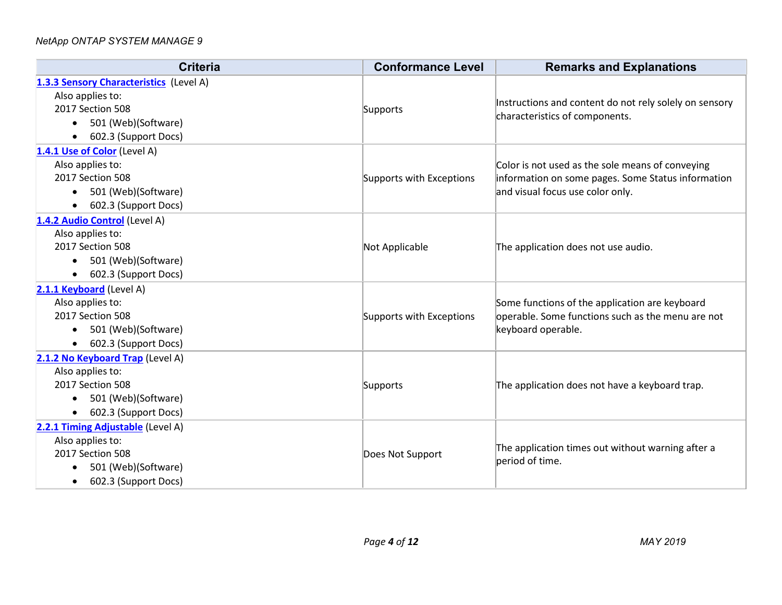| <b>Criteria</b>                         | <b>Conformance Level</b> | <b>Remarks and Explanations</b>                                                          |
|-----------------------------------------|--------------------------|------------------------------------------------------------------------------------------|
| 1.3.3 Sensory Characteristics (Level A) |                          |                                                                                          |
| Also applies to:                        | Supports                 | Instructions and content do not rely solely on sensory<br>characteristics of components. |
| 2017 Section 508                        |                          |                                                                                          |
| 501 (Web)(Software)                     |                          |                                                                                          |
| 602.3 (Support Docs)<br>$\bullet$       |                          |                                                                                          |
| 1.4.1 Use of Color (Level A)            |                          |                                                                                          |
| Also applies to:                        |                          | Color is not used as the sole means of conveying                                         |
| 2017 Section 508                        | Supports with Exceptions | information on some pages. Some Status information                                       |
| 501 (Web)(Software)                     |                          | and visual focus use color only.                                                         |
| 602.3 (Support Docs)<br>$\bullet$       |                          |                                                                                          |
| 1.4.2 Audio Control (Level A)           |                          |                                                                                          |
| Also applies to:                        |                          | The application does not use audio.                                                      |
| 2017 Section 508                        | Not Applicable           |                                                                                          |
| 501 (Web)(Software)<br>$\bullet$        |                          |                                                                                          |
| 602.3 (Support Docs)<br>$\bullet$       |                          |                                                                                          |
| 2.1.1 Keyboard (Level A)                |                          |                                                                                          |
| Also applies to:                        |                          | Some functions of the application are keyboard                                           |
| 2017 Section 508                        | Supports with Exceptions | operable. Some functions such as the menu are not<br>keyboard operable.                  |
| 501 (Web)(Software)<br>$\bullet$        |                          |                                                                                          |
| 602.3 (Support Docs)                    |                          |                                                                                          |
| 2.1.2 No Keyboard Trap (Level A)        |                          |                                                                                          |
| Also applies to:                        |                          |                                                                                          |
| 2017 Section 508                        | Supports                 | The application does not have a keyboard trap.                                           |
| 501 (Web)(Software)<br>$\bullet$        |                          |                                                                                          |
| 602.3 (Support Docs)                    |                          |                                                                                          |
| 2.2.1 Timing Adjustable (Level A)       |                          |                                                                                          |
| Also applies to:                        |                          | The application times out without warning after a<br>period of time.                     |
| 2017 Section 508                        | Does Not Support         |                                                                                          |
| 501 (Web)(Software)                     |                          |                                                                                          |
| 602.3 (Support Docs)<br>$\bullet$       |                          |                                                                                          |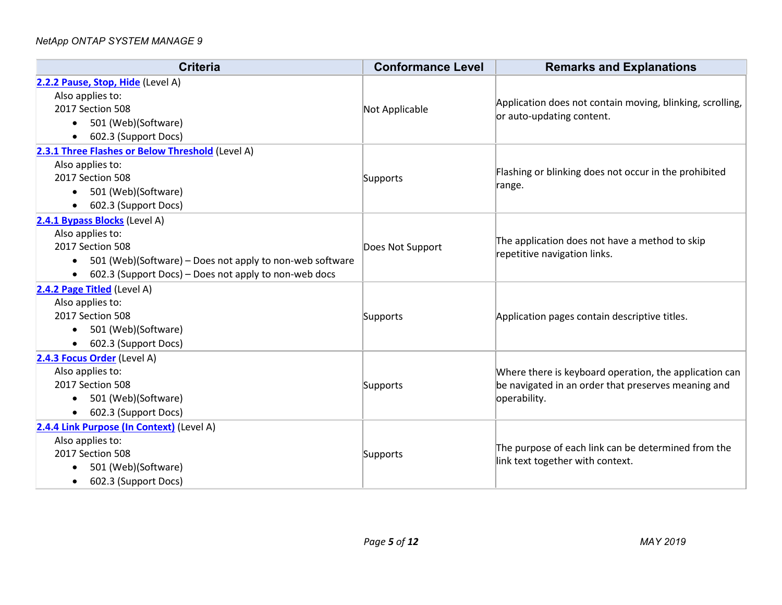| <b>Criteria</b>                                                       | <b>Conformance Level</b> | <b>Remarks and Explanations</b>                                                                               |
|-----------------------------------------------------------------------|--------------------------|---------------------------------------------------------------------------------------------------------------|
| 2.2.2 Pause, Stop, Hide (Level A)                                     |                          |                                                                                                               |
| Also applies to:                                                      |                          | Application does not contain moving, blinking, scrolling,<br>or auto-updating content.                        |
| 2017 Section 508                                                      | Not Applicable           |                                                                                                               |
| 501 (Web)(Software)                                                   |                          |                                                                                                               |
| 602.3 (Support Docs)<br>$\bullet$                                     |                          |                                                                                                               |
| 2.3.1 Three Flashes or Below Threshold (Level A)                      |                          |                                                                                                               |
| Also applies to:                                                      |                          | Flashing or blinking does not occur in the prohibited                                                         |
| 2017 Section 508                                                      | Supports                 | range.                                                                                                        |
| 501 (Web)(Software)<br>$\bullet$                                      |                          |                                                                                                               |
| 602.3 (Support Docs)                                                  |                          |                                                                                                               |
| 2.4.1 Bypass Blocks (Level A)                                         |                          |                                                                                                               |
| Also applies to:                                                      |                          | The application does not have a method to skip<br>repetitive navigation links.                                |
| 2017 Section 508                                                      | Does Not Support         |                                                                                                               |
| 501 (Web)(Software) – Does not apply to non-web software<br>$\bullet$ |                          |                                                                                                               |
| 602.3 (Support Docs) – Does not apply to non-web docs                 |                          |                                                                                                               |
| 2.4.2 Page Titled (Level A)                                           |                          |                                                                                                               |
| Also applies to:<br>2017 Section 508                                  |                          |                                                                                                               |
| 501 (Web)(Software)                                                   | Supports                 | Application pages contain descriptive titles.                                                                 |
| $\bullet$<br>602.3 (Support Docs)                                     |                          |                                                                                                               |
|                                                                       |                          |                                                                                                               |
| 2.4.3 Focus Order (Level A)<br>Also applies to:                       |                          |                                                                                                               |
| 2017 Section 508                                                      | Supports                 | Where there is keyboard operation, the application can<br>be navigated in an order that preserves meaning and |
| 501 (Web)(Software)                                                   |                          | operability.                                                                                                  |
| 602.3 (Support Docs)                                                  |                          |                                                                                                               |
| 2.4.4 Link Purpose (In Context) (Level A)                             |                          |                                                                                                               |
| Also applies to:                                                      |                          | The purpose of each link can be determined from the<br>link text together with context.                       |
| 2017 Section 508                                                      | Supports                 |                                                                                                               |
| 501 (Web)(Software)                                                   |                          |                                                                                                               |
| 602.3 (Support Docs)<br>$\bullet$                                     |                          |                                                                                                               |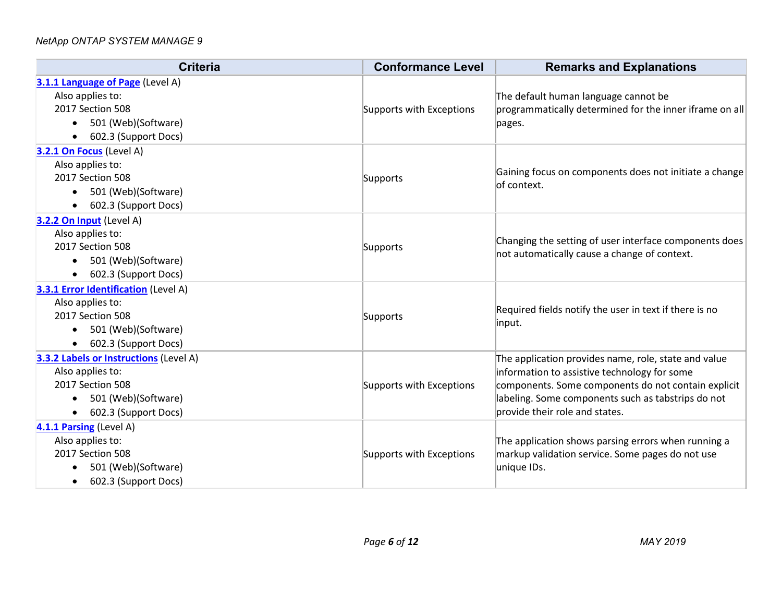| <b>Criteria</b>                               | <b>Conformance Level</b> | <b>Remarks and Explanations</b>                                                                        |
|-----------------------------------------------|--------------------------|--------------------------------------------------------------------------------------------------------|
| 3.1.1 Language of Page (Level A)              |                          |                                                                                                        |
| Also applies to:                              |                          | The default human language cannot be                                                                   |
| 2017 Section 508                              | Supports with Exceptions | programmatically determined for the inner iframe on all                                                |
| 501 (Web)(Software)                           |                          | pages.                                                                                                 |
| 602.3 (Support Docs)<br>$\bullet$             |                          |                                                                                                        |
| 3.2.1 On Focus (Level A)                      |                          |                                                                                                        |
| Also applies to:                              |                          | Gaining focus on components does not initiate a change                                                 |
| 2017 Section 508                              | Supports                 | of context.                                                                                            |
| 501 (Web)(Software)                           |                          |                                                                                                        |
| 602.3 (Support Docs)                          |                          |                                                                                                        |
| 3.2.2 On Input (Level A)                      |                          |                                                                                                        |
| Also applies to:                              |                          | Changing the setting of user interface components does<br>not automatically cause a change of context. |
| 2017 Section 508                              | Supports                 |                                                                                                        |
| 501 (Web)(Software)<br>$\bullet$              |                          |                                                                                                        |
| 602.3 (Support Docs)                          |                          |                                                                                                        |
| <b>3.3.1 Error Identification</b> (Level A)   |                          |                                                                                                        |
| Also applies to:                              |                          | Required fields notify the user in text if there is no                                                 |
| 2017 Section 508                              | Supports                 | input.                                                                                                 |
| 501 (Web)(Software)<br>$\bullet$              |                          |                                                                                                        |
| 602.3 (Support Docs)                          |                          |                                                                                                        |
| <b>3.3.2 Labels or Instructions (Level A)</b> |                          | The application provides name, role, state and value                                                   |
| Also applies to:                              |                          | information to assistive technology for some<br>components. Some components do not contain explicit    |
| 2017 Section 508                              | Supports with Exceptions |                                                                                                        |
| 501 (Web)(Software)<br>$\bullet$              |                          | labeling. Some components such as tabstrips do not                                                     |
| 602.3 (Support Docs)                          |                          | provide their role and states.                                                                         |
| 4.1.1 Parsing (Level A)                       |                          |                                                                                                        |
| Also applies to:                              |                          | The application shows parsing errors when running a                                                    |
| 2017 Section 508                              | Supports with Exceptions | markup validation service. Some pages do not use                                                       |
| 501 (Web)(Software)                           |                          | unique IDs.                                                                                            |
| 602.3 (Support Docs)<br>$\bullet$             |                          |                                                                                                        |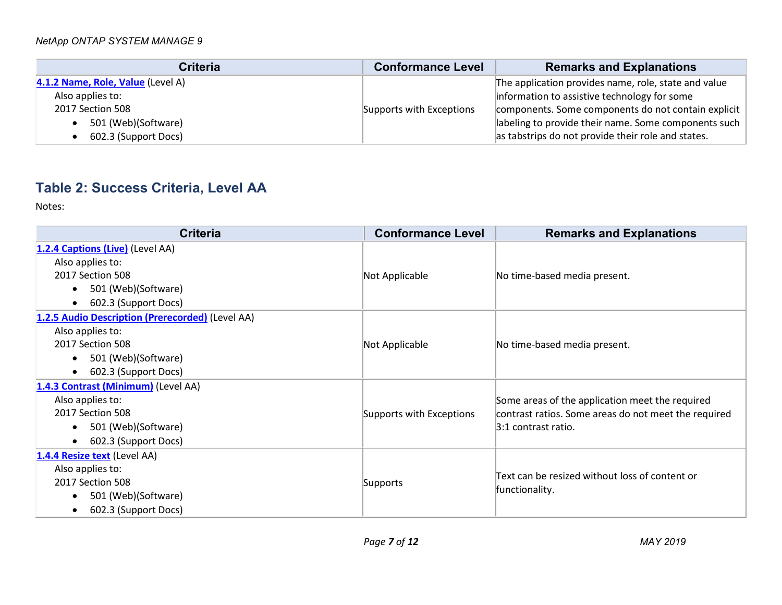| <b>Criteria</b>                   | <b>Conformance Level</b> | <b>Remarks and Explanations</b>                      |
|-----------------------------------|--------------------------|------------------------------------------------------|
| 4.1.2 Name, Role, Value (Level A) |                          | The application provides name, role, state and value |
| Also applies to:                  |                          | information to assistive technology for some         |
| 2017 Section 508                  | Supports with Exceptions | components. Some components do not contain explicit  |
| 501 (Web)(Software)               |                          | labeling to provide their name. Some components such |
| 602.3 (Support Docs)              |                          | as tabstrips do not provide their role and states.   |

# **Table 2: Success Criteria, Level AA**

| <b>Criteria</b>                                  | <b>Conformance Level</b> | <b>Remarks and Explanations</b>                      |
|--------------------------------------------------|--------------------------|------------------------------------------------------|
| 1.2.4 Captions (Live) (Level AA)                 |                          |                                                      |
| Also applies to:                                 |                          |                                                      |
| 2017 Section 508                                 | Not Applicable           | No time-based media present.                         |
| 501 (Web)(Software)<br>$\bullet$                 |                          |                                                      |
| 602.3 (Support Docs)<br>$\bullet$                |                          |                                                      |
| 1.2.5 Audio Description (Prerecorded) (Level AA) |                          |                                                      |
| Also applies to:                                 |                          |                                                      |
| 2017 Section 508                                 | Not Applicable           | No time-based media present.                         |
| 501 (Web)(Software)<br>$\bullet$                 |                          |                                                      |
| 602.3 (Support Docs)<br>$\bullet$                |                          |                                                      |
| 1.4.3 Contrast (Minimum) (Level AA)              |                          |                                                      |
| Also applies to:                                 |                          | Some areas of the application meet the required      |
| 2017 Section 508                                 | Supports with Exceptions | contrast ratios. Some areas do not meet the required |
| 501 (Web)(Software)<br>$\bullet$                 |                          | $3:1$ contrast ratio.                                |
| 602.3 (Support Docs)<br>$\bullet$                |                          |                                                      |
| 1.4.4 Resize text (Level AA)                     |                          |                                                      |
| Also applies to:                                 |                          | Text can be resized without loss of content or       |
| 2017 Section 508                                 | Supports                 | functionality.                                       |
| 501 (Web)(Software)                              |                          |                                                      |
| 602.3 (Support Docs)<br>$\bullet$                |                          |                                                      |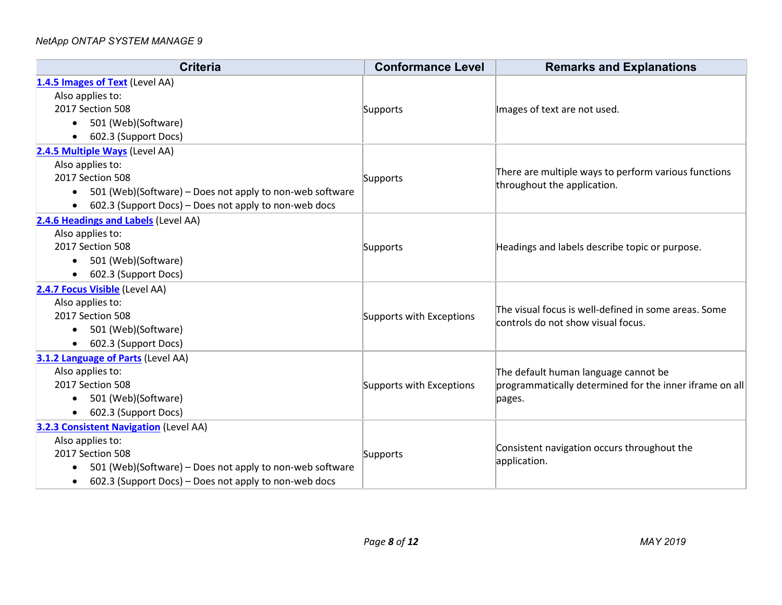| <b>Criteria</b>                                                       | <b>Conformance Level</b> | <b>Remarks and Explanations</b>                                   |
|-----------------------------------------------------------------------|--------------------------|-------------------------------------------------------------------|
| 1.4.5 Images of Text (Level AA)                                       |                          |                                                                   |
| Also applies to:                                                      |                          |                                                                   |
| 2017 Section 508                                                      | Supports                 | Images of text are not used.                                      |
| 501 (Web)(Software)<br>$\bullet$                                      |                          |                                                                   |
| 602.3 (Support Docs)<br>$\bullet$                                     |                          |                                                                   |
| 2.4.5 Multiple Ways (Level AA)                                        |                          |                                                                   |
| Also applies to:                                                      |                          | There are multiple ways to perform various functions              |
| 2017 Section 508                                                      | Supports                 | throughout the application.                                       |
| 501 (Web)(Software) – Does not apply to non-web software              |                          |                                                                   |
| 602.3 (Support Docs) – Does not apply to non-web docs<br>$\bullet$    |                          |                                                                   |
| 2.4.6 Headings and Labels (Level AA)                                  |                          |                                                                   |
| Also applies to:                                                      |                          |                                                                   |
| 2017 Section 508                                                      | Supports                 | Headings and labels describe topic or purpose.                    |
| 501 (Web)(Software)                                                   |                          |                                                                   |
| 602.3 (Support Docs)<br>$\bullet$                                     |                          |                                                                   |
| 2.4.7 Focus Visible (Level AA)                                        |                          |                                                                   |
| Also applies to:                                                      |                          | The visual focus is well-defined in some areas. Some              |
| 2017 Section 508                                                      | Supports with Exceptions | controls do not show visual focus.                                |
| 501 (Web)(Software)<br>$\bullet$                                      |                          |                                                                   |
| 602.3 (Support Docs)                                                  |                          |                                                                   |
| 3.1.2 Language of Parts (Level AA)                                    |                          |                                                                   |
| Also applies to:                                                      |                          | The default human language cannot be                              |
| 2017 Section 508                                                      | Supports with Exceptions | programmatically determined for the inner iframe on all<br>pages. |
| 501 (Web)(Software)<br>$\bullet$                                      |                          |                                                                   |
| 602.3 (Support Docs)                                                  |                          |                                                                   |
| <b>3.2.3 Consistent Navigation (Level AA)</b>                         |                          |                                                                   |
| Also applies to:                                                      |                          | Consistent navigation occurs throughout the<br>application.       |
| 2017 Section 508                                                      | Supports                 |                                                                   |
| 501 (Web)(Software) - Does not apply to non-web software<br>$\bullet$ |                          |                                                                   |
| 602.3 (Support Docs) - Does not apply to non-web docs<br>$\bullet$    |                          |                                                                   |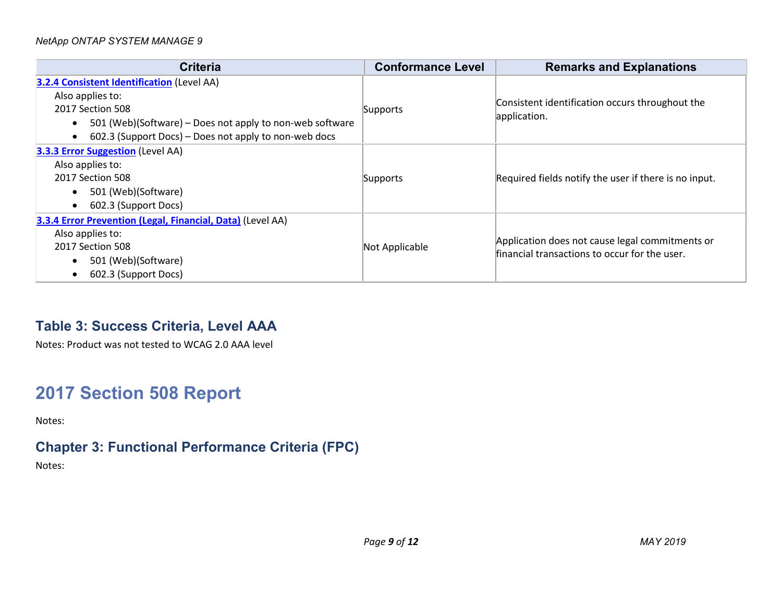| Criteria                                                                                                                                                                                                                    | <b>Conformance Level</b> | <b>Remarks and Explanations</b>                                                                  |
|-----------------------------------------------------------------------------------------------------------------------------------------------------------------------------------------------------------------------------|--------------------------|--------------------------------------------------------------------------------------------------|
| <b>3.2.4 Consistent Identification (Level AA)</b><br>Also applies to:<br>2017 Section 508<br>501 (Web)(Software) – Does not apply to non-web software<br>$\bullet$<br>602.3 (Support Docs) – Does not apply to non-web docs | Supports                 | Consistent identification occurs throughout the<br>application.                                  |
| 3.3.3 Error Suggestion (Level AA)<br>Also applies to:<br>2017 Section 508<br>501 (Web)(Software)<br>$\bullet$<br>602.3 (Support Docs)<br>$\bullet$                                                                          | Supports                 | Required fields notify the user if there is no input.                                            |
| 3.3.4 Error Prevention (Legal, Financial, Data) (Level AA)<br>Also applies to:<br>2017 Section 508<br>501 (Web)(Software)<br>$\bullet$<br>602.3 (Support Docs)                                                              | Not Applicable           | Application does not cause legal commitments or<br>financial transactions to occur for the user. |

### **Table 3: Success Criteria, Level AAA**

Notes: Product was not tested to WCAG 2.0 AAA level

# **2017 Section 508 Report**

Notes:

## **Chapter 3: Functional Performance Criteria (FPC)**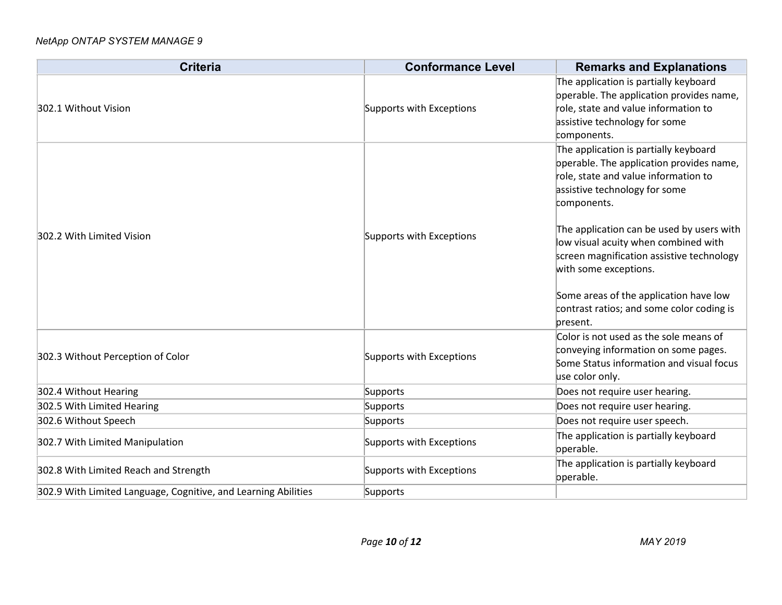| <b>Criteria</b>                                                | <b>Conformance Level</b> | <b>Remarks and Explanations</b>                                                                                                                                                                                                                                                                                                                                                                                                         |
|----------------------------------------------------------------|--------------------------|-----------------------------------------------------------------------------------------------------------------------------------------------------------------------------------------------------------------------------------------------------------------------------------------------------------------------------------------------------------------------------------------------------------------------------------------|
| 302.1 Without Vision                                           | Supports with Exceptions | The application is partially keyboard<br>operable. The application provides name,<br>role, state and value information to<br>assistive technology for some<br>components.                                                                                                                                                                                                                                                               |
| 302.2 With Limited Vision                                      | Supports with Exceptions | The application is partially keyboard<br>operable. The application provides name,<br>role, state and value information to<br>assistive technology for some<br>components.<br>The application can be used by users with<br>low visual acuity when combined with<br>screen magnification assistive technology<br>with some exceptions.<br>Some areas of the application have low<br>contrast ratios; and some color coding is<br>present. |
| 302.3 Without Perception of Color                              | Supports with Exceptions | Color is not used as the sole means of<br>conveying information on some pages.<br>Some Status information and visual focus<br>use color only.                                                                                                                                                                                                                                                                                           |
| 302.4 Without Hearing                                          | Supports                 | Does not require user hearing.                                                                                                                                                                                                                                                                                                                                                                                                          |
| 302.5 With Limited Hearing                                     | Supports                 | Does not require user hearing.                                                                                                                                                                                                                                                                                                                                                                                                          |
| 302.6 Without Speech                                           | Supports                 | Does not require user speech.                                                                                                                                                                                                                                                                                                                                                                                                           |
| 302.7 With Limited Manipulation                                | Supports with Exceptions | The application is partially keyboard<br>operable.                                                                                                                                                                                                                                                                                                                                                                                      |
| 302.8 With Limited Reach and Strength                          | Supports with Exceptions | The application is partially keyboard<br>operable.                                                                                                                                                                                                                                                                                                                                                                                      |
| 302.9 With Limited Language, Cognitive, and Learning Abilities | Supports                 |                                                                                                                                                                                                                                                                                                                                                                                                                                         |